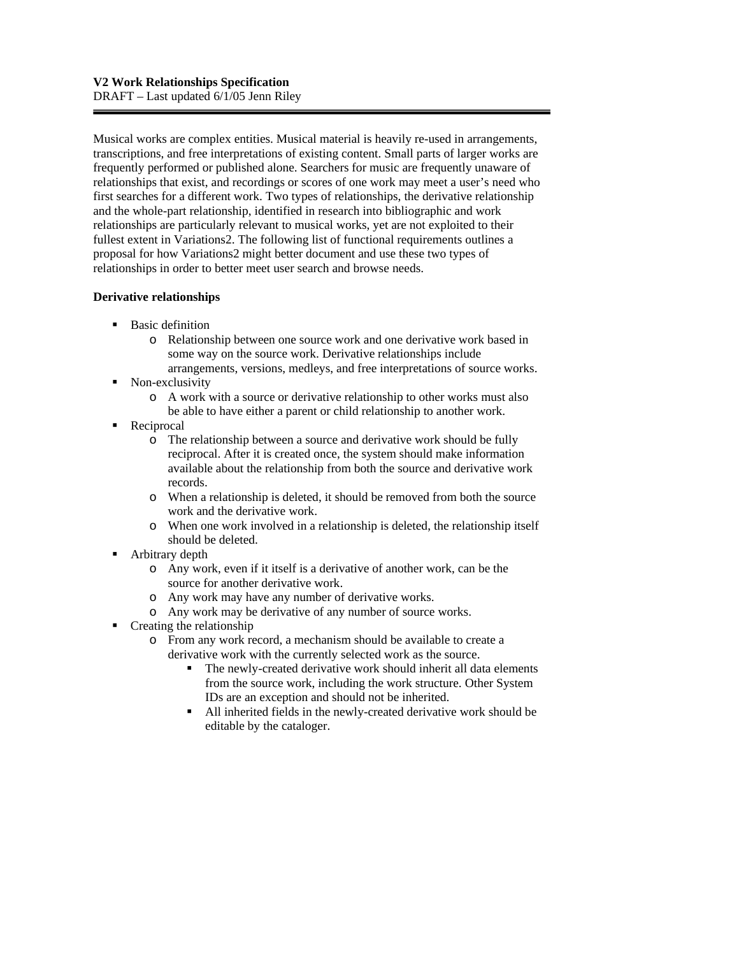Musical works are complex entities. Musical material is heavily re-used in arrangements, transcriptions, and free interpretations of existing content. Small parts of larger works are frequently performed or published alone. Searchers for music are frequently unaware of relationships that exist, and recordings or scores of one work may meet a user's need who first searches for a different work. Two types of relationships, the derivative relationship and the whole-part relationship, identified in research into bibliographic and work relationships are particularly relevant to musical works, yet are not exploited to their fullest extent in Variations2. The following list of functional requirements outlines a proposal for how Variations2 might better document and use these two types of relationships in order to better meet user search and browse needs.

## **Derivative relationships**

- **Basic definition** 
	- o Relationship between one source work and one derivative work based in some way on the source work. Derivative relationships include arrangements, versions, medleys, and free interpretations of source works.
- Non-exclusivity
	- o A work with a source or derivative relationship to other works must also be able to have either a parent or child relationship to another work.
- Reciprocal
	- o The relationship between a source and derivative work should be fully reciprocal. After it is created once, the system should make information available about the relationship from both the source and derivative work records.
	- o When a relationship is deleted, it should be removed from both the source work and the derivative work.
	- o When one work involved in a relationship is deleted, the relationship itself should be deleted.
- **•** Arbitrary depth
	- o Any work, even if it itself is a derivative of another work, can be the source for another derivative work.
	- o Any work may have any number of derivative works.
	- o Any work may be derivative of any number of source works.
- $\blacksquare$  Creating the relationship
	- o From any work record, a mechanism should be available to create a derivative work with the currently selected work as the source.
		- The newly-created derivative work should inherit all data elements from the source work, including the work structure. Other System IDs are an exception and should not be inherited.
		- All inherited fields in the newly-created derivative work should be editable by the cataloger.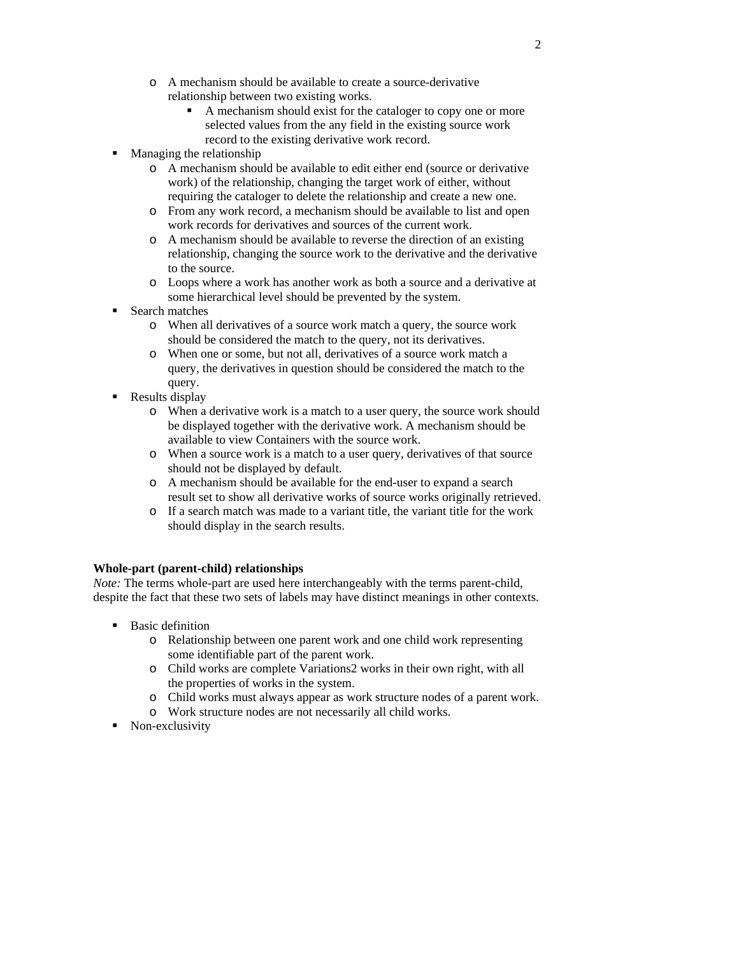- o A mechanism should be available to create a source-derivative relationship between two existing works.
	- A mechanism should exist for the cataloger to copy one or more selected values from the any field in the existing source work record to the existing derivative work record.
- Managing the relationship
	- o A mechanism should be available to edit either end (source or derivative work) of the relationship, changing the target work of either, without requiring the cataloger to delete the relationship and create a new one.
	- o From any work record, a mechanism should be available to list and open work records for derivatives and sources of the current work.
	- o A mechanism should be available to reverse the direction of an existing relationship, changing the source work to the derivative and the derivative to the source.
	- o Loops where a work has another work as both a source and a derivative at some hierarchical level should be prevented by the system.
- Search matches
	- o When all derivatives of a source work match a query, the source work should be considered the match to the query, not its derivatives.
	- o When one or some, but not all, derivatives of a source work match a query, the derivatives in question should be considered the match to the query.
- Results display
	- o When a derivative work is a match to a user query, the source work should be displayed together with the derivative work. A mechanism should be available to view Containers with the source work.
	- o When a source work is a match to a user query, derivatives of that source should not be displayed by default.
	- o A mechanism should be available for the end-user to expand a search result set to show all derivative works of source works originally retrieved.
	- o If a search match was made to a variant title, the variant title for the work should display in the search results.

### **Whole-part (parent-child) relationships**

*Note:* The terms whole-part are used here interchangeably with the terms parent-child, despite the fact that these two sets of labels may have distinct meanings in other contexts.

- **Basic definition** 
	- o Relationship between one parent work and one child work representing some identifiable part of the parent work.
	- o Child works are complete Variations2 works in their own right, with all the properties of works in the system.
	- o Child works must always appear as work structure nodes of a parent work.
	- o Work structure nodes are not necessarily all child works.
- Non-exclusivity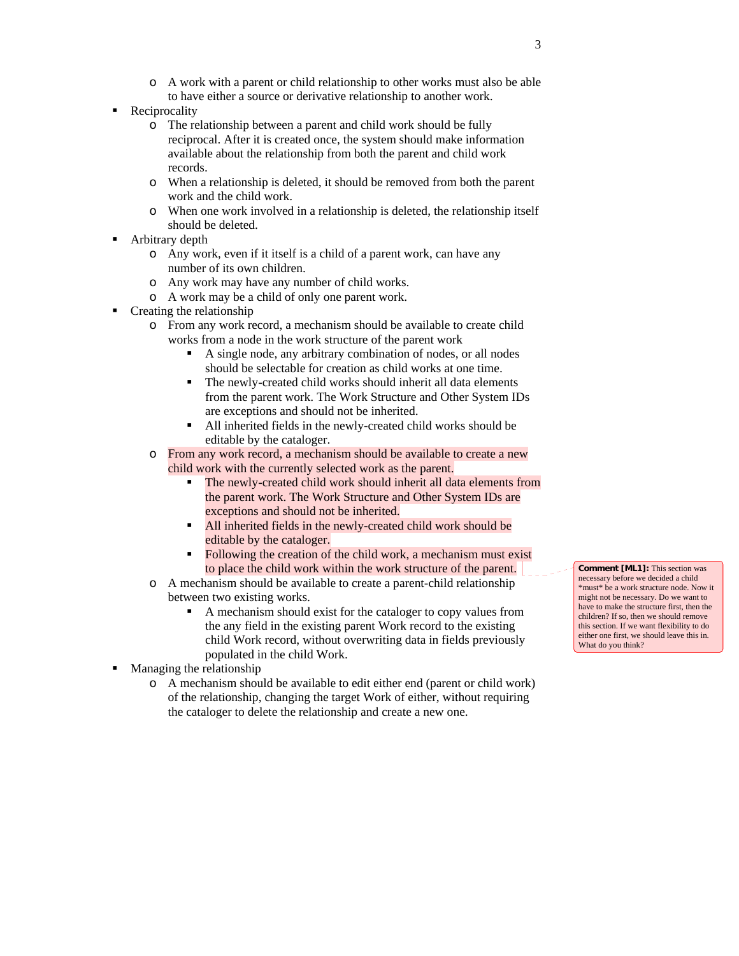- o A work with a parent or child relationship to other works must also be able to have either a source or derivative relationship to another work.
- Reciprocality
	- o The relationship between a parent and child work should be fully reciprocal. After it is created once, the system should make information available about the relationship from both the parent and child work records.
	- o When a relationship is deleted, it should be removed from both the parent work and the child work.
	- o When one work involved in a relationship is deleted, the relationship itself should be deleted.
- Arbitrary depth
	- o Any work, even if it itself is a child of a parent work, can have any number of its own children.
	- o Any work may have any number of child works.
	- o A work may be a child of only one parent work.
- **Creating the relationship** 
	- o From any work record, a mechanism should be available to create child works from a node in the work structure of the parent work
		- A single node, any arbitrary combination of nodes, or all nodes should be selectable for creation as child works at one time.
		- The newly-created child works should inherit all data elements from the parent work. The Work Structure and Other System IDs are exceptions and should not be inherited.
		- All inherited fields in the newly-created child works should be editable by the cataloger.
	- o From any work record, a mechanism should be available to create a new child work with the currently selected work as the parent.
		- The newly-created child work should inherit all data elements from the parent work. The Work Structure and Other System IDs are exceptions and should not be inherited.
		- All inherited fields in the newly-created child work should be editable by the cataloger.
		- Following the creation of the child work, a mechanism must exist to place the child work within the work structure of the parent.
	- o A mechanism should be available to create a parent-child relationship between two existing works.
		- A mechanism should exist for the cataloger to copy values from the any field in the existing parent Work record to the existing child Work record, without overwriting data in fields previously populated in the child Work.
- **Managing the relationship** 
	- o A mechanism should be available to edit either end (parent or child work) of the relationship, changing the target Work of either, without requiring the cataloger to delete the relationship and create a new one.

**Comment [ML1]:** This section was necessary before we decided a child \*must\* be a work structure node. Now it might not be necessary. Do we want to have to make the structure first, then the children? If so, then we should remove this section. If we want flexibility to do either one first, we should leave this in. What do you think?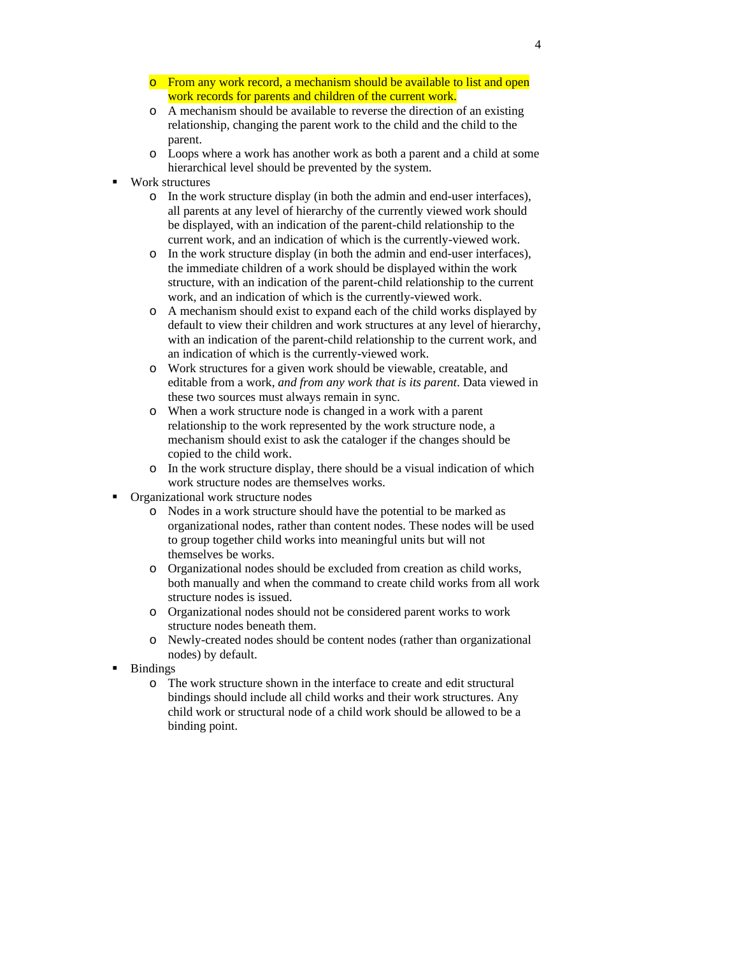- o From any work record, a mechanism should be available to list and open work records for parents and children of the current work.
- o A mechanism should be available to reverse the direction of an existing relationship, changing the parent work to the child and the child to the parent.
- o Loops where a work has another work as both a parent and a child at some hierarchical level should be prevented by the system.
- Work structures
	- o In the work structure display (in both the admin and end-user interfaces), all parents at any level of hierarchy of the currently viewed work should be displayed, with an indication of the parent-child relationship to the current work, and an indication of which is the currently-viewed work.
	- o In the work structure display (in both the admin and end-user interfaces), the immediate children of a work should be displayed within the work structure, with an indication of the parent-child relationship to the current work, and an indication of which is the currently-viewed work.
	- o A mechanism should exist to expand each of the child works displayed by default to view their children and work structures at any level of hierarchy, with an indication of the parent-child relationship to the current work, and an indication of which is the currently-viewed work.
	- o Work structures for a given work should be viewable, creatable, and editable from a work, *and from any work that is its parent*. Data viewed in these two sources must always remain in sync.
	- o When a work structure node is changed in a work with a parent relationship to the work represented by the work structure node, a mechanism should exist to ask the cataloger if the changes should be copied to the child work.
	- o In the work structure display, there should be a visual indication of which work structure nodes are themselves works.
- Organizational work structure nodes
	- o Nodes in a work structure should have the potential to be marked as organizational nodes, rather than content nodes. These nodes will be used to group together child works into meaningful units but will not themselves be works.
	- o Organizational nodes should be excluded from creation as child works, both manually and when the command to create child works from all work structure nodes is issued.
	- o Organizational nodes should not be considered parent works to work structure nodes beneath them.
	- o Newly-created nodes should be content nodes (rather than organizational nodes) by default.
- **Bindings** 
	- o The work structure shown in the interface to create and edit structural bindings should include all child works and their work structures. Any child work or structural node of a child work should be allowed to be a binding point.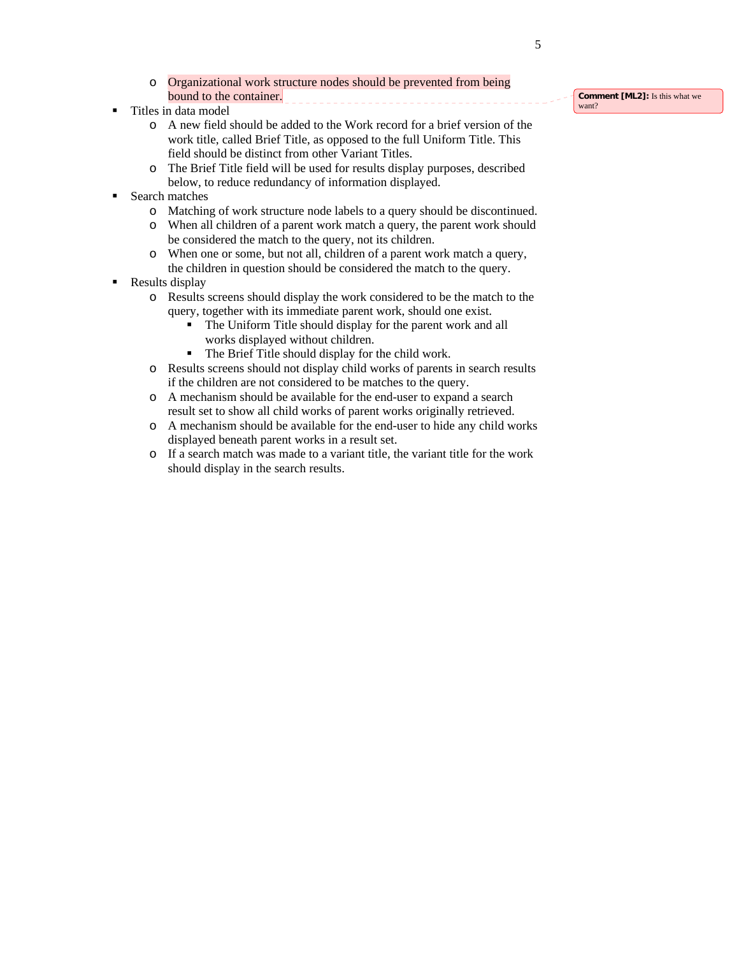- o Organizational work structure nodes should be prevented from being bound to the container. \_\_\_\_\_\_\_\_\_\_\_\_\_\_\_\_\_\_\_\_\_\_\_\_\_\_\_\_\_\_\_\_
- Titles in data model
	- o A new field should be added to the Work record for a brief version of the work title, called Brief Title, as opposed to the full Uniform Title. This field should be distinct from other Variant Titles.
	- o The Brief Title field will be used for results display purposes, described below, to reduce redundancy of information displayed.
- **Search matches** 
	- o Matching of work structure node labels to a query should be discontinued.
	- o When all children of a parent work match a query, the parent work should be considered the match to the query, not its children.
	- o When one or some, but not all, children of a parent work match a query, the children in question should be considered the match to the query.
- Results display
	- o Results screens should display the work considered to be the match to the query, together with its immediate parent work, should one exist.
		- The Uniform Title should display for the parent work and all works displayed without children.
		- The Brief Title should display for the child work.
	- o Results screens should not display child works of parents in search results if the children are not considered to be matches to the query.
	- o A mechanism should be available for the end-user to expand a search result set to show all child works of parent works originally retrieved.
	- o A mechanism should be available for the end-user to hide any child works displayed beneath parent works in a result set.
	- o If a search match was made to a variant title, the variant title for the work should display in the search results.

**Comment [ML2]:** Is this what we want?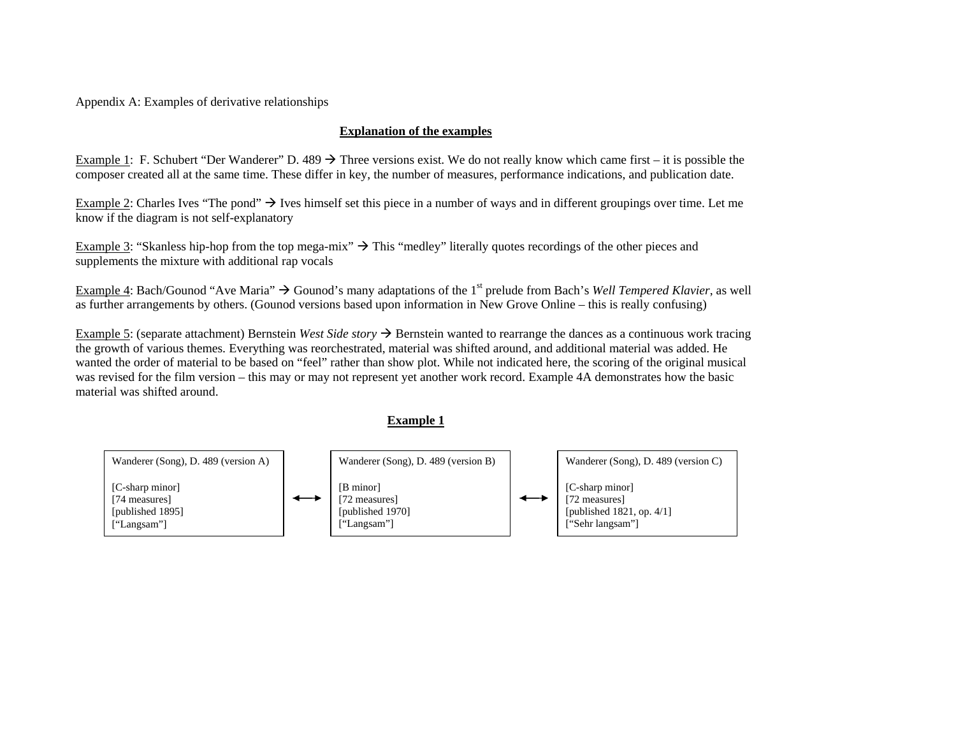Appendix A: Examples of derivative relationships

## **Explanation of the examples**

Example 1: F. Schubert "Der Wanderer" D. 489  $\rightarrow$  Three versions exist. We do not really know which came first – it is possible the composer created all at the same time. These differ in key, the number of measures, performance indications, and publication date.

Example 2: Charles Ives "The pond"  $\rightarrow$  Ives himself set this piece in a number of ways and in different groupings over time. Let me know if the diagram is not self-explanatory

Example 3: "Skanless hip-hop from the top mega-mix"  $\rightarrow$  This "medley" literally quotes recordings of the other pieces and supplements the mixture with additional rap vocals

Example 4: Bach/Gounod "Ave Maria"  $\rightarrow$  Gounod's many adaptations of the 1<sup>st</sup> prelude from Bach's *Well Tempered Klavier*, as well as further arrangements by others. (Gounod versions based upon information in New Grove Online – this is really confusing)

Example 5: (separate attachment) Bernstein *West Side story*  $\rightarrow$  Bernstein wanted to rearrange the dances as a continuous work tracing the growth of various themes. Everything was reorchestrated, material was shifted around, and additional material was added. He wanted the order of material to be based on "feel" rather than show plot. While not indicated here, the scoring of the original musical was revised for the film version – this may or may not represent yet another work record. Example 4A demonstrates how the basic material was shifted around.

#### **Example 1**

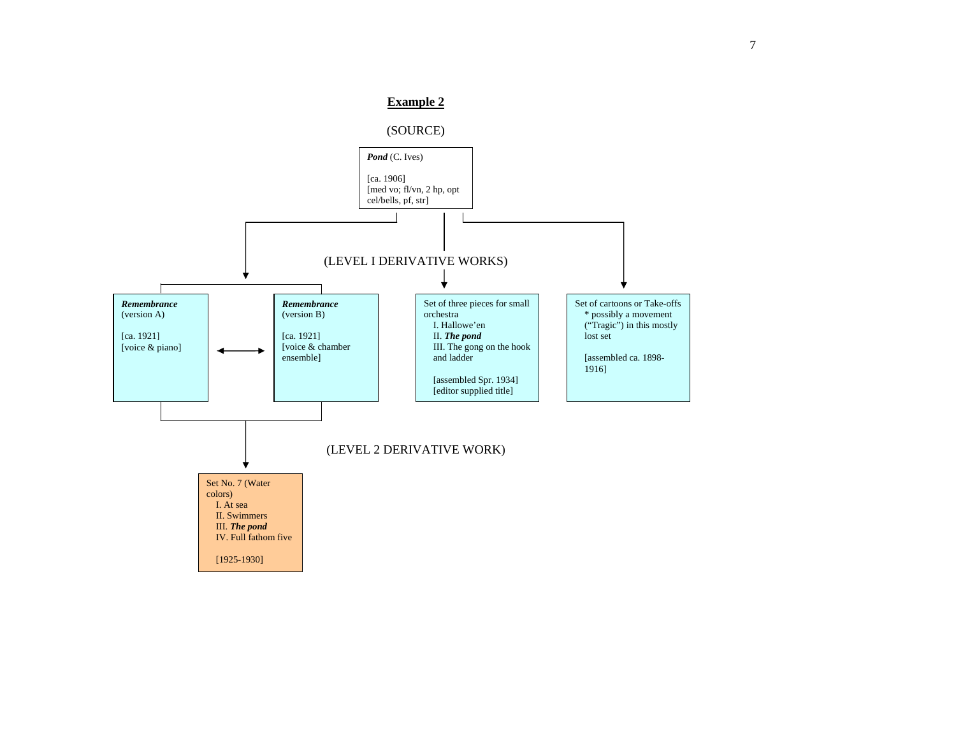

# **Example 2**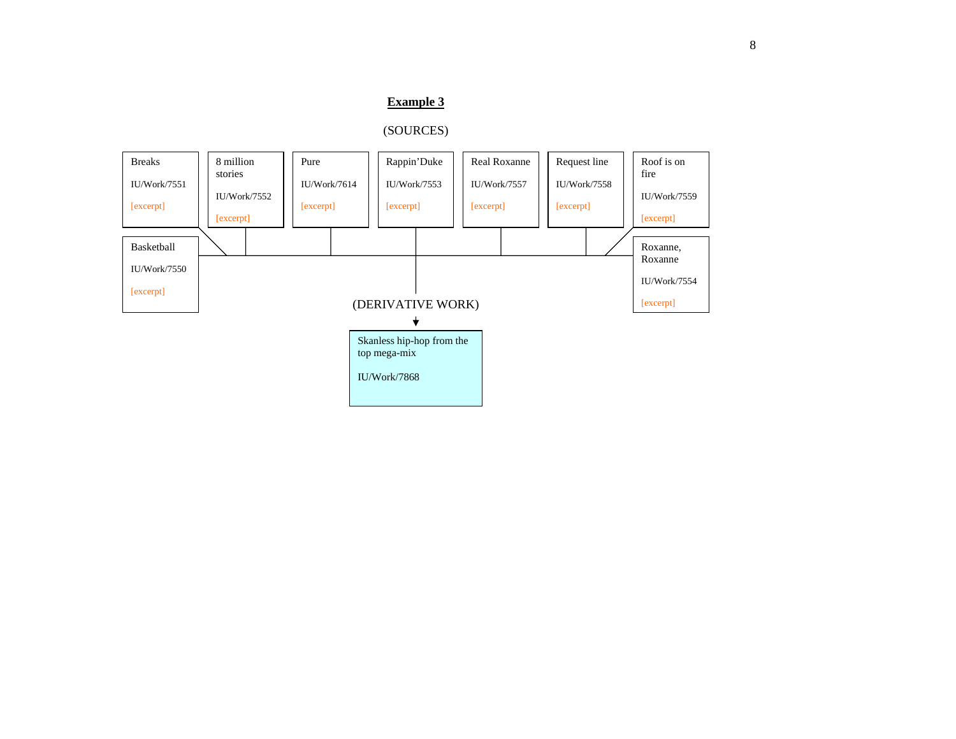# **Example 3**

# (SOURCES)

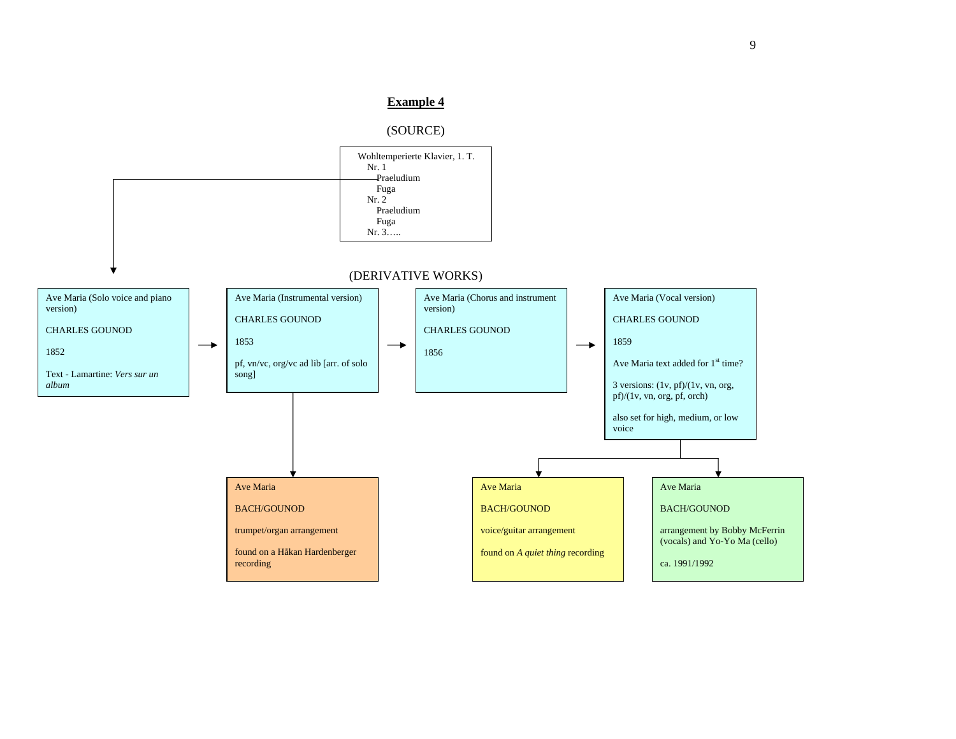### **Example 4**

#### (SOURCE)

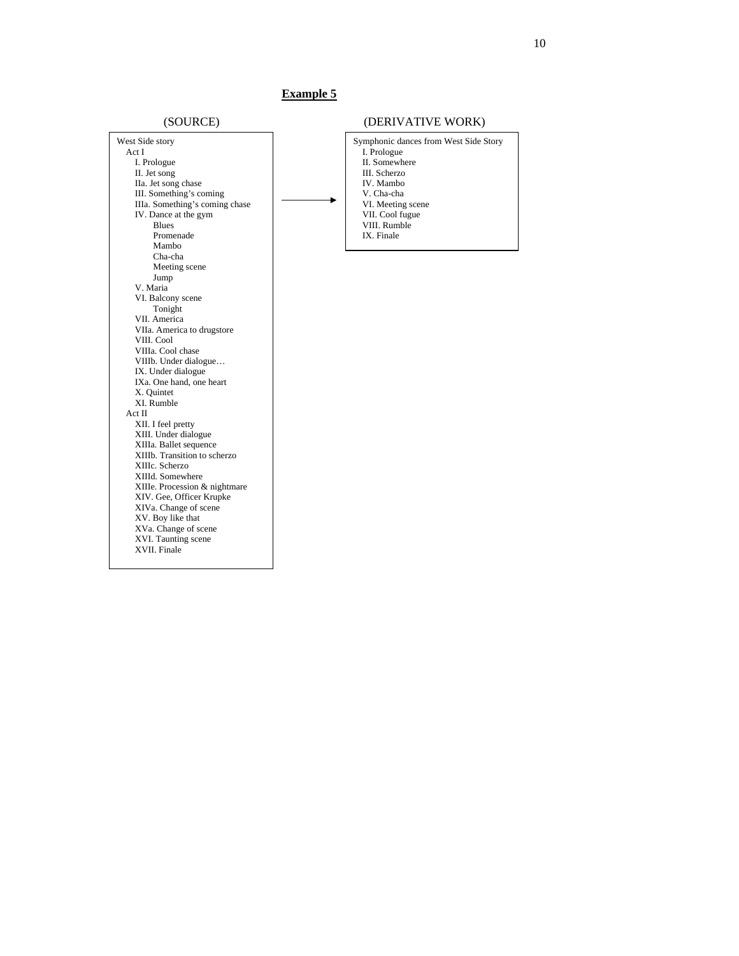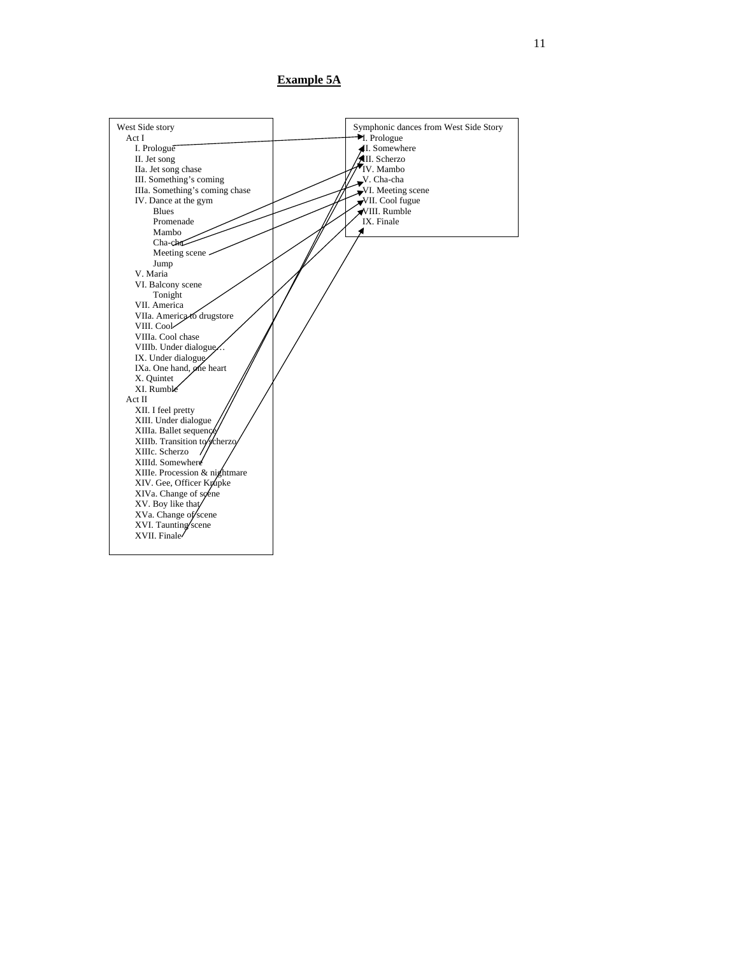**Example 5A**

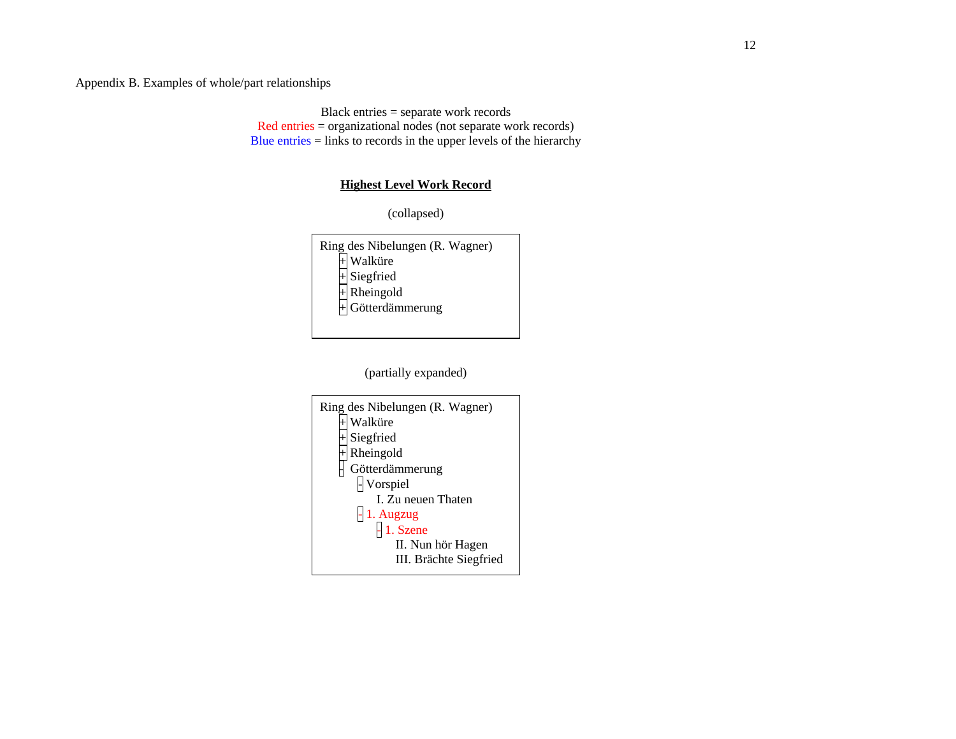Appendix B. Examples of whole/part relationships

Black entries = separate work records Red entries = organizational nodes (not separate work records) Blue entries = links to records in the upper levels of the hierarchy

# **Highest Level Work Record**

(collapsed)

| Ring des Nibelungen (R. Wagner) |
|---------------------------------|
| Walküre                         |
| Siegfried                       |
| Rheingold                       |
| $\overline{+}$ Götterdämmerung  |
|                                 |

(partially expanded)

| Ring des Nibelungen (R. Wagner)<br>Walküre |
|--------------------------------------------|
| Siegfried                                  |
| Rheingold                                  |
| Götterdämmerung                            |
| - Vorspiel                                 |
| I. Zu neuen Thaten                         |
| 1. Augzug                                  |
|                                            |
| III. Brächte Siegfried                     |
| 1. Szene<br>II. Nun hör Hagen              |